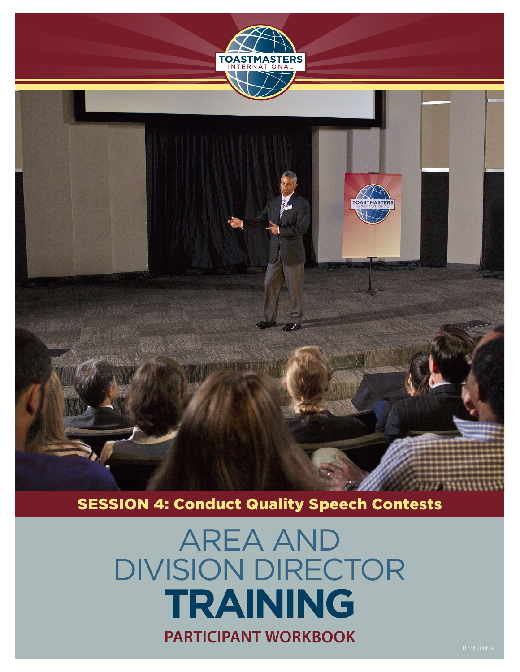

**TOASTMASTERS** 



# AREA AND DIVISION DIRECTOR **TRAINING PARTICIPANT WORKBOOK**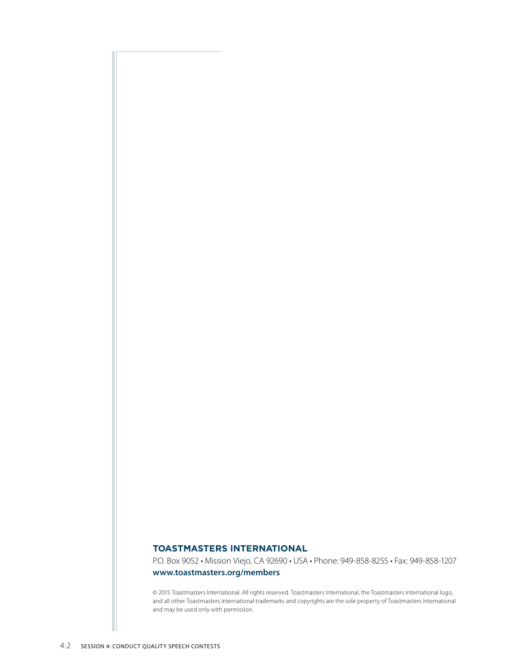#### **TOASTMASTERS INTERNATIONAL**

P.O. Box 9052 • Mission Viejo, CA 92690 • USA • Phone: 949-858-8255 • Fax: 949-858-1207

#### **www.toastmasters.org/members**

© 2015 Toastmasters International. All rights reserved. Toastmasters International, the Toastmasters International logo, and all other Toastmasters International trademarks and copyrights are the sole property of Toastmasters International and may be used only with permission.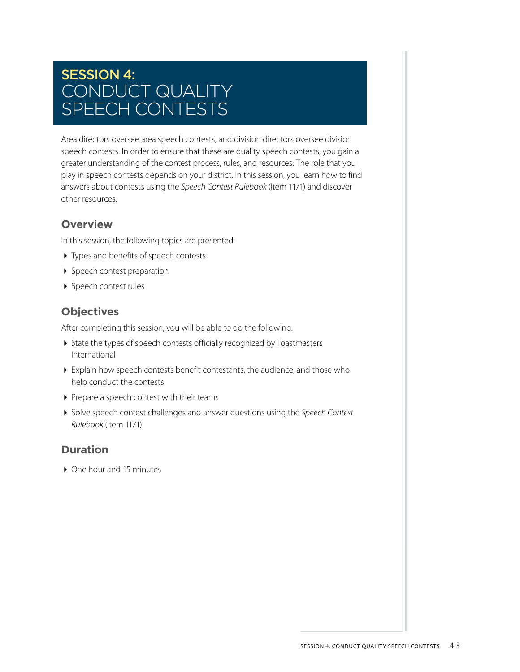## SESSION 4: CONDUCT QUALITY SPEECH CONTESTS

Area directors oversee area speech contests, and division directors oversee division speech contests. In order to ensure that these are quality speech contests, you gain a greater understanding of the contest process, rules, and resources. The role that you play in speech contests depends on your district. In this session, you learn how to find answers about contests using the *Speech Contest Rulebook* (Item 1171) and discover other resources.

#### **Overview**

In this session, the following topics are presented:

- ▶ Types and benefits of speech contests
- ▶ Speech contest preparation
- ▶ Speech contest rules

### **Objectives**

After completing this session, you will be able to do the following:

- State the types of speech contests officially recognized by Toastmasters International
- Explain how speech contests benefit contestants, the audience, and those who help conduct the contests
- Prepare a speech contest with their teams
- Solve speech contest challenges and answer questions using the *Speech Contest Rulebook* (Item 1171)

#### **Duration**

▶ One hour and 15 minutes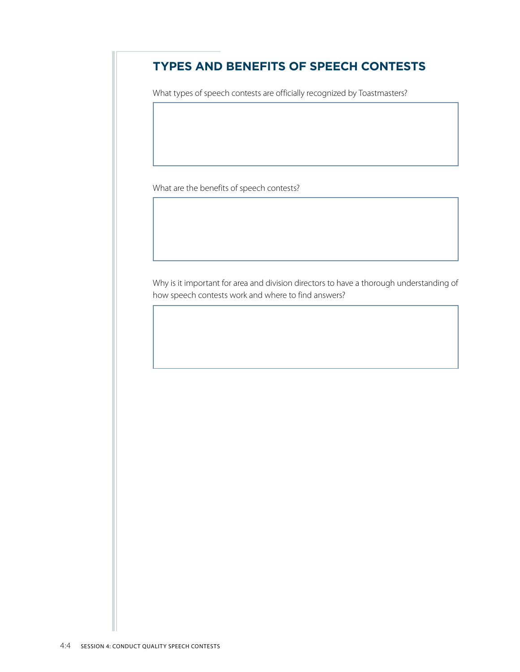## **TYPES AND BENEFITS OF SPEECH CONTESTS**

What types of speech contests are officially recognized by Toastmasters?

What are the benefits of speech contests?

Why is it important for area and division directors to have a thorough understanding of how speech contests work and where to find answers?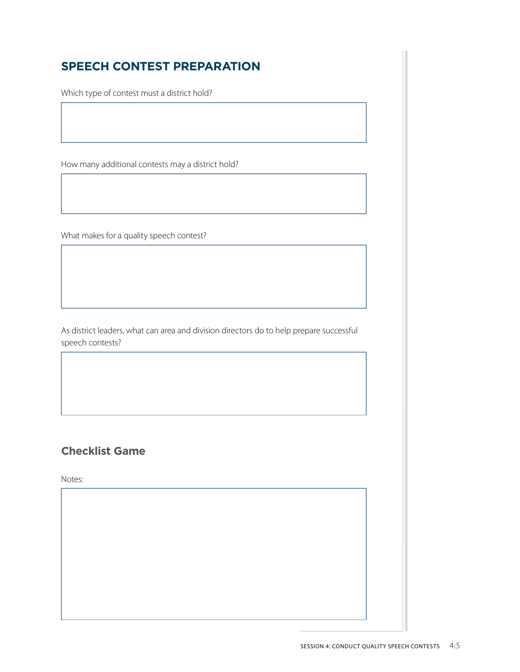## **SPEECH CONTEST PREPARATION**

Which type of contest must a district hold?

How many additional contests may a district hold?

What makes for a quality speech contest?

As district leaders, what can area and division directors do to help prepare successful speech contests?

## **Checklist Game**

Notes: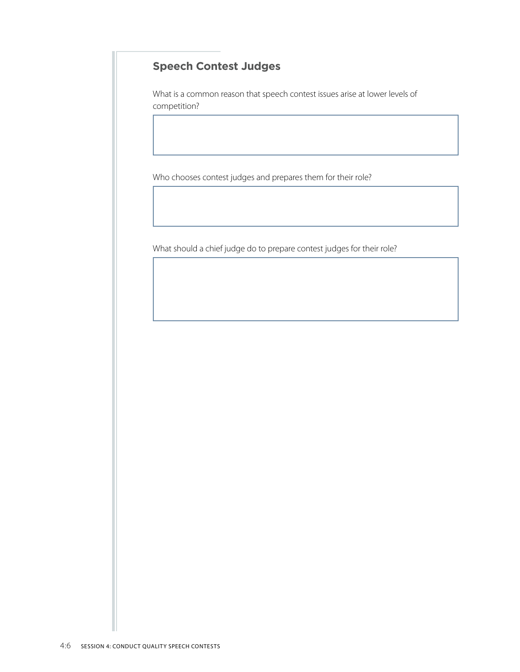## **Speech Contest Judges**

What is a common reason that speech contest issues arise at lower levels of competition?

Who chooses contest judges and prepares them for their role?

What should a chief judge do to prepare contest judges for their role?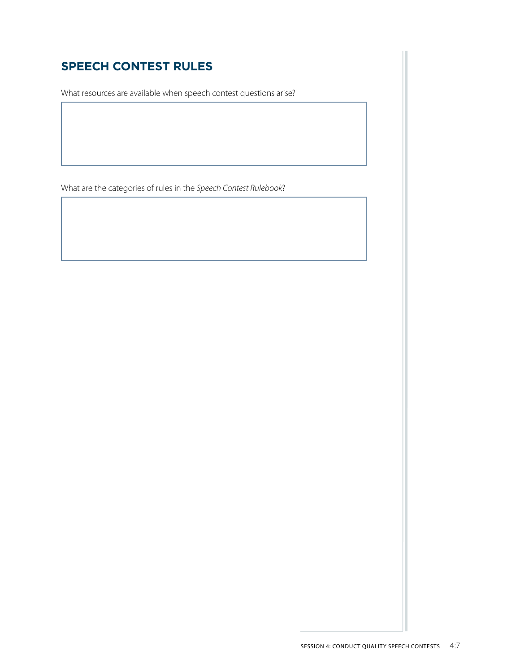## **SPEECH CONTEST RULES**

What resources are available when speech contest questions arise?

What are the categories of rules in the *Speech Contest Rulebook*?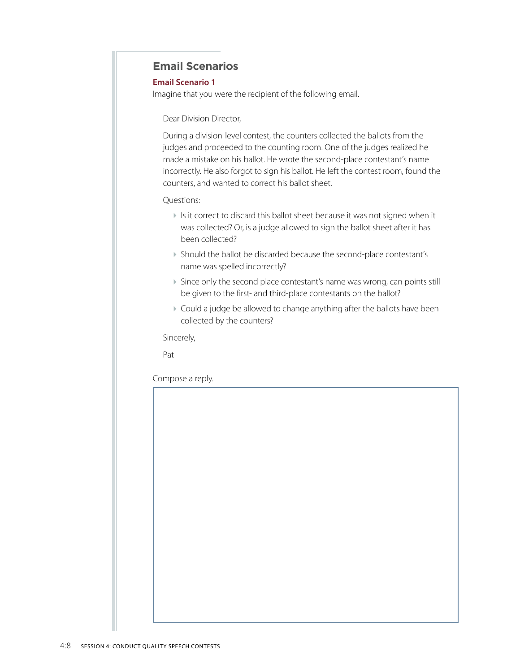#### **Email Scenarios**

#### **Email Scenario 1**

Imagine that you were the recipient of the following email.

Dear Division Director,

During a division-level contest, the counters collected the ballots from the judges and proceeded to the counting room. One of the judges realized he made a mistake on his ballot. He wrote the second-place contestant's name incorrectly. He also forgot to sign his ballot. He left the contest room, found the counters, and wanted to correct his ballot sheet.

#### Questions:

- If is it correct to discard this ballot sheet because it was not signed when it was collected? Or, is a judge allowed to sign the ballot sheet after it has been collected?
- Should the ballot be discarded because the second-place contestant's name was spelled incorrectly?
- Since only the second place contestant's name was wrong, can points still be given to the first- and third-place contestants on the ballot?
- Could a judge be allowed to change anything after the ballots have been collected by the counters?

Sincerely,

Pat

Compose a reply.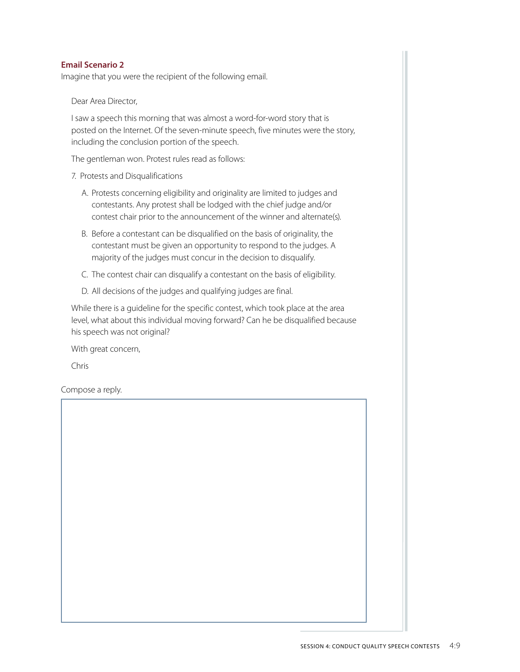#### **Email Scenario 2**

Imagine that you were the recipient of the following email.

Dear Area Director,

I saw a speech this morning that was almost a word-for-word story that is posted on the Internet. Of the seven-minute speech, five minutes were the story, including the conclusion portion of the speech.

The gentleman won. Protest rules read as follows:

- 7. Protests and Disqualifications
	- A. Protests concerning eligibility and originality are limited to judges and contestants. Any protest shall be lodged with the chief judge and/or contest chair prior to the announcement of the winner and alternate(s).
	- B. Before a contestant can be disqualified on the basis of originality, the contestant must be given an opportunity to respond to the judges. A majority of the judges must concur in the decision to disqualify.
	- C. The contest chair can disqualify a contestant on the basis of eligibility.
	- D. All decisions of the judges and qualifying judges are final.

While there is a guideline for the specific contest, which took place at the area level, what about this individual moving forward? Can he be disqualified because his speech was not original?

With great concern,

Chris

Compose a reply.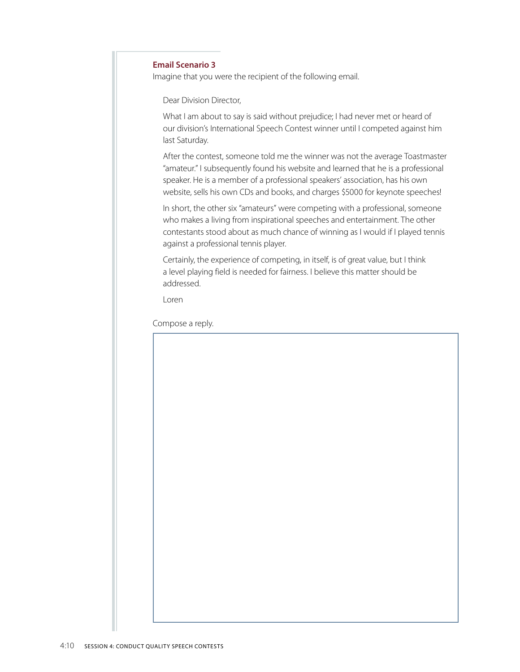#### **Email Scenario 3**

Imagine that you were the recipient of the following email.

Dear Division Director,

What I am about to say is said without prejudice; I had never met or heard of our division's International Speech Contest winner until I competed against him last Saturday.

After the contest, someone told me the winner was not the average Toastmaster "amateur." I subsequently found his website and learned that he is a professional speaker. He is a member of a professional speakers' association, has his own website, sells his own CDs and books, and charges \$5000 for keynote speeches!

In short, the other six "amateurs" were competing with a professional, someone who makes a living from inspirational speeches and entertainment. The other contestants stood about as much chance of winning as I would if I played tennis against a professional tennis player.

Certainly, the experience of competing, in itself, is of great value, but I think a level playing field is needed for fairness. I believe this matter should be addressed.

Loren

Compose a reply.